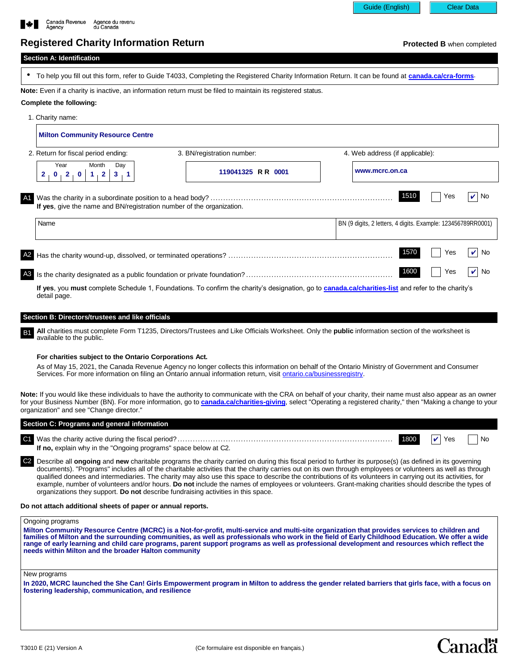| Guide (English) |
|-----------------|
|                 |

**Canadä** 

| I*I | Canada Hevenue<br>Agency | Agence du revenu<br>du Canada |  |
|-----|--------------------------|-------------------------------|--|
|     |                          |                               |  |

# **Registered Charity Information Return Protected B** when completed **B** when completed

## **Section A: Identification**

• To help you fill out this form, refer to Guide T4033, Completing the Registered Charity Information Return. It can be found at **canada.ca/cra-forms**.

**Note:** Even if a charity is inactive, an information return must be filed to maintain its registered status.

### **Complete the following:**

1. Charity name:

| <b>Milton Community Resource Centre</b>                                                     |                                                                                                                                                         |                                                              |     |                            |
|---------------------------------------------------------------------------------------------|---------------------------------------------------------------------------------------------------------------------------------------------------------|--------------------------------------------------------------|-----|----------------------------|
| 2. Return for fiscal period ending:                                                         | 3. BN/registration number:                                                                                                                              | 4. Web address (if applicable):                              |     |                            |
| Year<br>Month<br>Day<br>1, 2<br>$\mathbf{0}$<br>$\mathbf{2}$<br>$3 \cdot 1$<br>$\mathbf{0}$ | 119041325 R R 0001                                                                                                                                      | www.mcrc.on.ca                                               |     |                            |
| If yes, give the name and BN/registration number of the organization.                       |                                                                                                                                                         | 1510                                                         | Yes | $\mathsf{v}$ No            |
| Name                                                                                        |                                                                                                                                                         | BN (9 digits, 2 letters, 4 digits. Example: 123456789RR0001) |     |                            |
|                                                                                             |                                                                                                                                                         | 1570                                                         | Yes | No<br>$\mathcal{V}$        |
|                                                                                             |                                                                                                                                                         | 1600                                                         | Yes | <b>No</b><br>$\mathcal{V}$ |
| detail page.                                                                                | If yes, you must complete Schedule 1, Foundations. To confirm the charity's designation, go to canada.ca/charities-list and refer to the charity's      |                                                              |     |                            |
| Section B: Directors/trustees and like officials                                            |                                                                                                                                                         |                                                              |     |                            |
| available to the public.                                                                    | All charities must complete Form T1235, Directors/Trustees and Like Officials Worksheet. Only the <b>public</b> information section of the worksheet is |                                                              |     |                            |
| For charities subject to the Ontario Corporations Act.                                      |                                                                                                                                                         |                                                              |     |                            |

As of May 15, 2021, the Canada Revenue Agency no longer collects this information on behalf of the Ontario Ministry of Government and Consumer Services. For more information on filing an Ontario annual information return, visit **ontario.ca/businessregistry**.

**Note:** If you would like these individuals to have the authority to communicate with the CRA on behalf of your charity, their name must also appear as an owner for your Business Number (BN). For more information, go to **canada.ca/charities-giving**, select "Operating a registered charity," then "Making a change to your organization" and see "Change director."

| Section C: Programs and general information                                                                                                                 |  |  |  |
|-------------------------------------------------------------------------------------------------------------------------------------------------------------|--|--|--|
| 1800 $\boxed{\mathsf{v}}$ Yes $\boxed{\phantom{0}}$ No<br>If no, explain why in the "Ongoing programs" space below at C2.                                   |  |  |  |
| C2 Describe all ongoing and new charitable programs the charity carried on during this fiscal period to further its purpose(s) (as defined in its governing |  |  |  |

documents). "Programs" includes all of the charitable activities that the charity carries out on its own through employees or volunteers as well as through qualified donees and intermediaries. The charity may also use this space to describe the contributions of its volunteers in carrying out its activities, for example, number of volunteers and/or hours. **Do not** include the names of employees or volunteers. Grant-making charities should describe the types of organizations they support. **Do not** describe fundraising activities in this space.

#### **Do not attach additional sheets of paper or annual reports.**

#### Ongoing programs

**Milton Community Resource Centre (MCRC) is a Not-for-profit, multi-service and multi-site organization that provides services to children and**  families of Milton and the surrounding communities, as well as professionals who work in the field of Early Childhood Education. We offer a wide **range of early learning and child care programs, parent support programs as well as professional development and resources which reflect the needs within Milton and the broader Halton community**

New programs

In 2020, MCRC launched the She Can! Girls Empowerment program in Milton to address the gender related barriers that girls face, with a focus on **fostering leadership, communication, and resilience**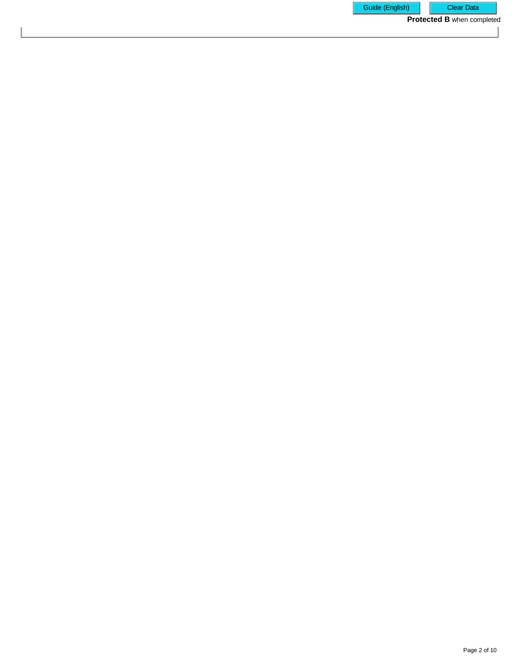|  | <b>Rear Data</b>                  |
|--|-----------------------------------|
|  | <b>Protected B when completed</b> |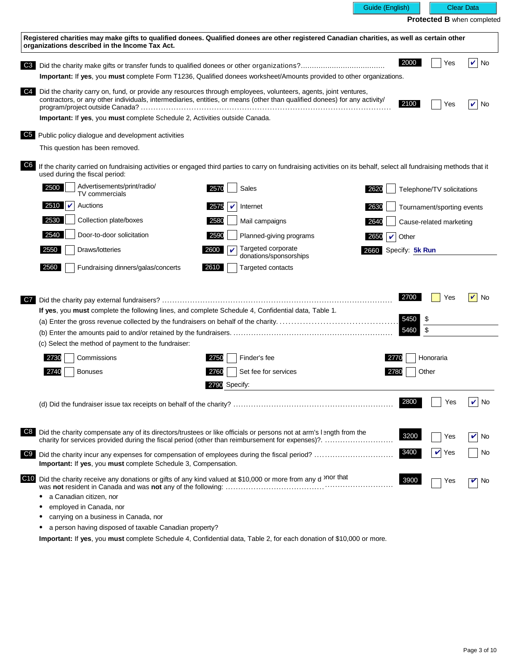Guide (English) Clear Data

**Protected B** when completed

|                | Registered charities may make gifts to qualified donees. Qualified donees are other registered Canadian charities, as well as certain other<br>organizations described in the Income Tax Act.                                                                                                                                                         |
|----------------|-------------------------------------------------------------------------------------------------------------------------------------------------------------------------------------------------------------------------------------------------------------------------------------------------------------------------------------------------------|
| C <sub>3</sub> | $\checkmark$<br>2000<br>No<br>Yes                                                                                                                                                                                                                                                                                                                     |
|                | Important: If yes, you must complete Form T1236, Qualified donees worksheet/Amounts provided to other organizations.                                                                                                                                                                                                                                  |
| C4             | Did the charity carry on, fund, or provide any resources through employees, volunteers, agents, joint ventures,<br>contractors, or any other individuals, intermediaries, entities, or means (other than qualified donees) for any activity/<br>2100<br>V<br>No<br>Yes<br>Important: If yes, you must complete Schedule 2, Activities outside Canada. |
| C5             | Public policy dialogue and development activities                                                                                                                                                                                                                                                                                                     |
|                | This question has been removed.                                                                                                                                                                                                                                                                                                                       |
| C <sub>6</sub> | If the charity carried on fundraising activities or engaged third parties to carry on fundraising activities on its behalf, select all fundraising methods that it<br>used during the fiscal period:                                                                                                                                                  |
|                | Advertisements/print/radio/<br>2500<br>2570<br>Sales<br>Telephone/TV solicitations<br>2620<br>TV commercials                                                                                                                                                                                                                                          |
|                | 2510<br>Auctions<br>v<br>2575<br>Internet<br>Tournament/sporting events<br>v<br>2630                                                                                                                                                                                                                                                                  |
|                | Collection plate/boxes<br>2530<br>Mail campaigns<br>2580<br>Cause-related marketing<br>2640                                                                                                                                                                                                                                                           |
|                | 2540<br>Door-to-door solicitation<br>2590<br>Planned-giving programs<br>2650<br>$\checkmark$<br>Other                                                                                                                                                                                                                                                 |
|                | Targeted corporate<br>2600<br>2550<br>Draws/lotteries<br>$\checkmark$<br>Specify 5k Run<br>2660                                                                                                                                                                                                                                                       |
|                | donations/sponsorships<br>2610<br>2560<br>Fundraising dinners/galas/concerts<br><b>Targeted contacts</b>                                                                                                                                                                                                                                              |
| C7             | 2700<br>V<br>Yes<br><b>No</b><br>If yes, you must complete the following lines, and complete Schedule 4, Confidential data, Table 1.<br>5450<br>\$<br>\$<br>5460<br>(c) Select the method of payment to the fundraiser:                                                                                                                               |
|                | 2730<br>Commissions<br>2750<br>Finder's fee<br>2770<br>Honoraria                                                                                                                                                                                                                                                                                      |
|                | 2740<br>2760<br>Set fee for services<br>2780<br>Other<br><b>Bonuses</b>                                                                                                                                                                                                                                                                               |
|                | 2790 Specify:                                                                                                                                                                                                                                                                                                                                         |
|                | 2800<br>$\mathbf{v}$ No<br>Yes                                                                                                                                                                                                                                                                                                                        |
| C8             | Did the charity compensate any of its directors/trustees or like officials or persons not at arm's length from the<br>3200<br>$\vee$ No<br>Yes<br>charity for services provided during the fiscal period (other than reimbursement for expenses)?                                                                                                     |
|                | 3400<br>$\mathbf v$<br>Yes<br>No.<br>Important: If yes, you must complete Schedule 3, Compensation.                                                                                                                                                                                                                                                   |
|                | C10 Did the charity receive any donations or gifts of any kind valued at \$10,000 or more from any d inor that<br>3900<br>Yes<br>No.                                                                                                                                                                                                                  |
|                | a Canadian citizen, nor                                                                                                                                                                                                                                                                                                                               |
|                | employed in Canada, nor                                                                                                                                                                                                                                                                                                                               |
|                | carrying on a business in Canada, nor                                                                                                                                                                                                                                                                                                                 |
|                | a person having disposed of taxable Canadian property?                                                                                                                                                                                                                                                                                                |

**Important:** If **yes**, you **must** complete Schedule 4, Confidential data, Table 2, for each donation of \$10,000 or more.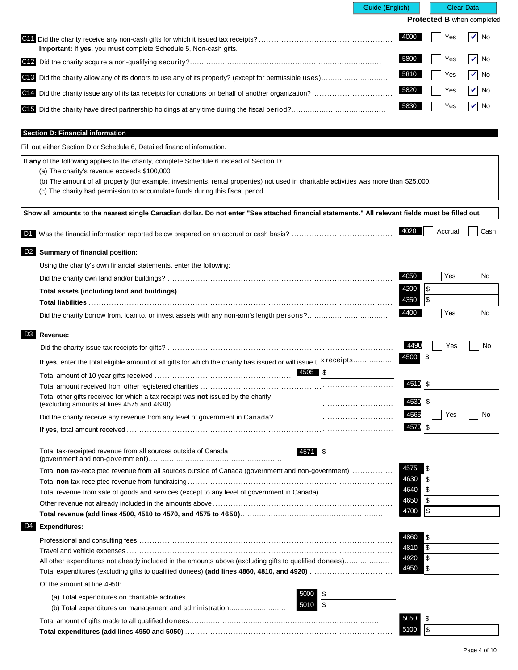|                 |                                                                  | Guide (English) |      | <b>Clear Data</b> |                            |
|-----------------|------------------------------------------------------------------|-----------------|------|-------------------|----------------------------|
|                 |                                                                  |                 |      |                   | Protected B when completed |
|                 | Important: If yes, you must complete Schedule 5, Non-cash gifts. |                 | 4000 | Yes               | $\mathbf{v}$ No            |
| C <sub>12</sub> |                                                                  |                 | 5800 | Yes               | $V$ No                     |
|                 |                                                                  |                 | 5810 | Yes               | $\vee$ No                  |
|                 |                                                                  |                 | 5820 | Yes               | $\mathsf{v}$ No            |
|                 |                                                                  |                 | 5830 | Yes               | $\mathsf{v}$ No            |

## **Section D: Financial information**

Fill out either Section D or Schedule 6, Detailed financial information.

| in out citizen occupir D or conculto of Dotanca infariolar imomiation                                                                             |      |         |      |
|---------------------------------------------------------------------------------------------------------------------------------------------------|------|---------|------|
| If any of the following applies to the charity, complete Schedule 6 instead of Section D:                                                         |      |         |      |
| (a) The charity's revenue exceeds \$100,000.                                                                                                      |      |         |      |
| (b) The amount of all property (for example, investments, rental properties) not used in charitable activities was more than \$25,000.            |      |         |      |
| (c) The charity had permission to accumulate funds during this fiscal period.                                                                     |      |         |      |
| Show all amounts to the nearest single Canadian dollar. Do not enter "See attached financial statements." All relevant fields must be filled out. |      |         |      |
|                                                                                                                                                   | 4020 | Accrual | Cash |
| <b>D2</b> Summary of financial position:                                                                                                          |      |         |      |
| Using the charity's own financial statements, enter the following:                                                                                |      |         |      |
|                                                                                                                                                   | 4050 | Yes     | No.  |
|                                                                                                                                                   | 4200 | 1\$     |      |
|                                                                                                                                                   | 4350 | 1\$     |      |
|                                                                                                                                                   | 4400 | Yes     | No.  |
| Revenue:                                                                                                                                          |      |         |      |
|                                                                                                                                                   | 4490 | Yes     | No   |
| If yes, enter the total eligible amount of all gifts for which the charity has issued or will issue t x receipts                                  | 4500 |         |      |

|                                                                                  | 4510        |           |
|----------------------------------------------------------------------------------|-------------|-----------|
| Total other gifts received for which a tax receipt was not issued by the charity | 4530        |           |
|                                                                                  | 4565<br>Yes | <b>No</b> |
|                                                                                  | 4570        |           |

|    | Total tax-receipted revenue from all sources outside of Canada<br>4571                                 |      |            |
|----|--------------------------------------------------------------------------------------------------------|------|------------|
|    | Total non tax-receipted revenue from all sources outside of Canada (government and non-government)     | 4575 | ∎\$        |
|    |                                                                                                        | 4630 | <b>S</b>   |
|    | Total revenue from sale of goods and services (except to any level of government in Canada)            | 4640 | - \$       |
|    |                                                                                                        | 4650 | - \$       |
|    |                                                                                                        | 4700 | $\sqrt{3}$ |
| D4 | <b>Expenditures:</b>                                                                                   |      |            |
|    |                                                                                                        | 4860 | I \$       |
|    |                                                                                                        | 4810 | S.         |
|    | All other expenditures not already included in the amounts above (excluding gifts to qualified donees) | 4920 |            |
|    | Total expenditures (excluding gifts to qualified donees) (add lines 4860, 4810, and 4920)              | 4950 |            |
|    | Of the amount at line 4950:                                                                            |      |            |
|    | 5000 \$                                                                                                |      |            |
|    | $5010$ \$<br>(b) Total expenditures on management and administration                                   |      |            |
|    |                                                                                                        | 5050 | - \$       |
|    |                                                                                                        | 5100 |            |
|    |                                                                                                        |      |            |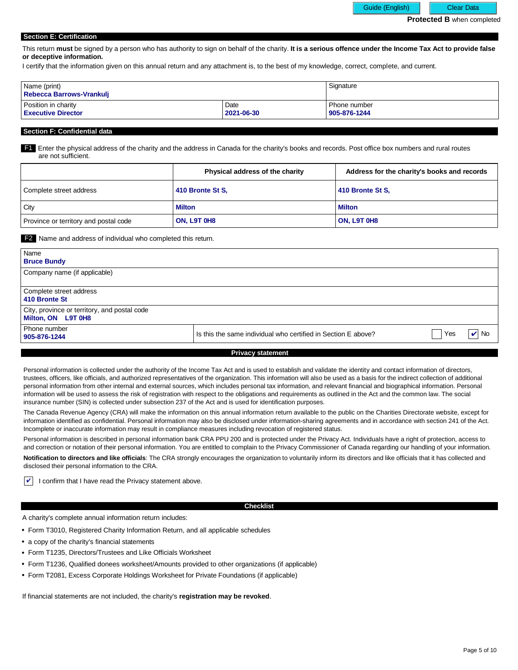

**Protected B** when completed

#### **Section E: Certification**

This return must be signed by a person who has authority to sign on behalf of the charity. It is a serious offence under the Income Tax Act to provide false **or deceptive information.**

I certify that the information given on this annual return and any attachment is, to the best of my knowledge, correct, complete, and current.

| Name (print)<br><b>Rebecca Barrows-Vrankulj</b> |            | Signature           |
|-------------------------------------------------|------------|---------------------|
| Position in charity                             | Date       | <b>Phone number</b> |
| <b>Executive Director</b>                       | 2021-06-30 | 905-876-1244        |

#### **Section F: Confidential data**

**F1** Enter the physical address of the charity and the address in Canada for the charity's books and records. Post office box numbers and rural routes are not sufficient.

|                                       | Physical address of the charity | Address for the charity's books and records |
|---------------------------------------|---------------------------------|---------------------------------------------|
| Complete street address               | 410 Bronte St S,                | 410 Bronte St S.                            |
| City                                  | Milton                          | <b>Milton</b>                               |
| Province or territory and postal code | ON, L9T 0H8                     | ON, L9T 0H8                                 |

#### F2 Name and address of individual who completed this return.

| Name<br><b>Bruce Bundy</b>                                         |                                                               |     |           |
|--------------------------------------------------------------------|---------------------------------------------------------------|-----|-----------|
| Company name (if applicable)                                       |                                                               |     |           |
| Complete street address<br>410 Bronte St                           |                                                               |     |           |
| City, province or territory, and postal code<br>Milton, ON L9T 0H8 |                                                               |     |           |
| Phone number<br>905-876-1244                                       | Is this the same individual who certified in Section E above? | Yes | $\vee$ No |

#### **Privacy statement**

Personal information is collected under the authority of the Income Tax Act and is used to establish and validate the identity and contact information of directors, trustees, officers, like officials, and authorized representatives of the organization. This information will also be used as a basis for the indirect collection of additional personal information from other internal and external sources, which includes personal tax information, and relevant financial and biographical information. Personal information will be used to assess the risk of registration with respect to the obligations and requirements as outlined in the Act and the common law. The social insurance number (SIN) is collected under subsection 237 of the Act and is used for identification purposes.

The Canada Revenue Agency (CRA) will make the information on this annual information return available to the public on the Charities Directorate website, except for information identified as confidential. Personal information may also be disclosed under information-sharing agreements and in accordance with section 241 of the Act. Incomplete or inaccurate information may result in compliance measures including revocation of registered status.

Personal information is described in personal information bank CRA PPU 200 and is protected under the Privacy Act. Individuals have a right of protection, access to and correction or notation of their personal information. You are entitled to complain to the Privacy Commissioner of Canada regarding our handling of your information. **Notification to directors and like officials**: The CRA strongly encourages the organization to voluntarily inform its directors and like officials that it has collected and disclosed their personal information to the CRA.

 $\mathbf{V}$  I confirm that I have read the Privacy statement above.

#### **Checklist**

A charity's complete annual information return includes:

- Form T3010, Registered Charity Information Return, and all applicable schedules
- a copy of the charity's financial statements
- Form T1235, Directors/Trustees and Like Officials Worksheet
- Form T1236, Qualified donees worksheet/Amounts provided to other organizations (if applicable)
- Form T2081, Excess Corporate Holdings Worksheet for Private Foundations (if applicable)

If financial statements are not included, the charity's **registration may be revoked**.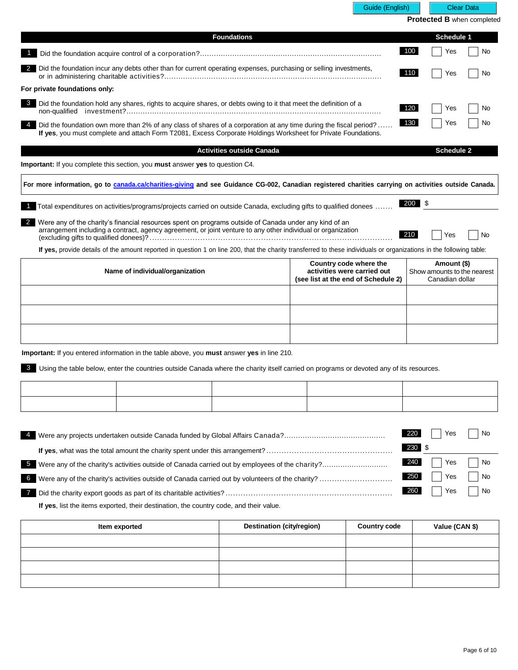|                                                                                                                                                                                                                                    |                                  | Guide (English)                                                                              | <b>Clear Data</b>                                             |     |
|------------------------------------------------------------------------------------------------------------------------------------------------------------------------------------------------------------------------------------|----------------------------------|----------------------------------------------------------------------------------------------|---------------------------------------------------------------|-----|
|                                                                                                                                                                                                                                    |                                  |                                                                                              | <b>Protected B when completed</b>                             |     |
|                                                                                                                                                                                                                                    | <b>Foundations</b>               |                                                                                              | Schedule 1                                                    |     |
|                                                                                                                                                                                                                                    |                                  |                                                                                              | 100<br>Yes                                                    | No. |
| Did the foundation incur any debts other than for current operating expenses, purchasing or selling investments,                                                                                                                   |                                  |                                                                                              | 110<br>Yes                                                    | No. |
| For private foundations only:                                                                                                                                                                                                      |                                  |                                                                                              |                                                               |     |
| Did the foundation hold any shares, rights to acquire shares, or debts owing to it that meet the definition of a<br>3                                                                                                              |                                  |                                                                                              | 120<br>Yes                                                    | No. |
| Did the foundation own more than 2% of any class of shares of a corporation at any time during the fiscal period?<br>If yes, you must complete and attach Form T2081, Excess Corporate Holdings Worksheet for Private Foundations. |                                  |                                                                                              | 130<br>Yes                                                    | No. |
|                                                                                                                                                                                                                                    | <b>Activities outside Canada</b> |                                                                                              | Schedule 2                                                    |     |
| <b>Important:</b> If you complete this section, you <b>must</b> answer <b>yes</b> to question C4.                                                                                                                                  |                                  |                                                                                              |                                                               |     |
| For more information, go to canada.ca/charities-giving and see Guidance CG-002, Canadian registered charities carrying on activities outside Canada.                                                                               |                                  |                                                                                              |                                                               |     |
|                                                                                                                                                                                                                                    |                                  |                                                                                              |                                                               |     |
| Total expenditures on activities/programs/projects carried on outside Canada, excluding gifts to qualified donees                                                                                                                  |                                  |                                                                                              | $200 - $$                                                     |     |
| Were any of the charity's financial resources spent on programs outside of Canada under any kind of an<br>arrangement including a contract, agency agreement, or joint venture to any other individual or organization             |                                  |                                                                                              | 210<br>Yes                                                    | No  |
| If yes, provide details of the amount reported in question 1 on line 200, that the charity transferred to these individuals or organizations in the following table:                                                               |                                  |                                                                                              |                                                               |     |
| Name of individual/organization                                                                                                                                                                                                    |                                  | Country code where the<br>activities were carried out<br>(see list at the end of Schedule 2) | Amount (\$)<br>Show amounts to the nearest<br>Canadian dollar |     |
|                                                                                                                                                                                                                                    |                                  |                                                                                              |                                                               |     |
|                                                                                                                                                                                                                                    |                                  |                                                                                              |                                                               |     |
|                                                                                                                                                                                                                                    |                                  |                                                                                              |                                                               |     |
|                                                                                                                                                                                                                                    |                                  |                                                                                              |                                                               |     |
| Important: If you entered information in the table above, you must answer yes in line 210.                                                                                                                                         |                                  |                                                                                              |                                                               |     |
| Using the table below, enter the countries outside Canada where the charity itself carried on programs or devoted any of its resources.                                                                                            |                                  |                                                                                              |                                                               |     |
|                                                                                                                                                                                                                                    |                                  |                                                                                              |                                                               |     |
|                                                                                                                                                                                                                                    |                                  |                                                                                              |                                                               |     |
|                                                                                                                                                                                                                                    |                                  |                                                                                              |                                                               |     |
|                                                                                                                                                                                                                                    |                                  |                                                                                              |                                                               |     |
|                                                                                                                                                                                                                                    |                                  |                                                                                              | 220<br>Yes                                                    | No. |
|                                                                                                                                                                                                                                    |                                  |                                                                                              | 230 \$                                                        |     |
| 5                                                                                                                                                                                                                                  |                                  |                                                                                              | 240<br>Yes                                                    | No  |
|                                                                                                                                                                                                                                    |                                  |                                                                                              | 250<br>Yes                                                    | No. |
|                                                                                                                                                                                                                                    |                                  |                                                                                              | 260<br>Yes                                                    | No. |

7 Did the charity export goods as part of its charitable activities? ..................................................................

**If yes**, list the items exported, their destination, the country code, and their value.

| <b>Item exported</b> | <b>Destination (city/region)</b> | <b>Country code</b> | Value (CAN \$) |
|----------------------|----------------------------------|---------------------|----------------|
|                      |                                  |                     |                |
|                      |                                  |                     |                |
|                      |                                  |                     |                |
|                      |                                  |                     |                |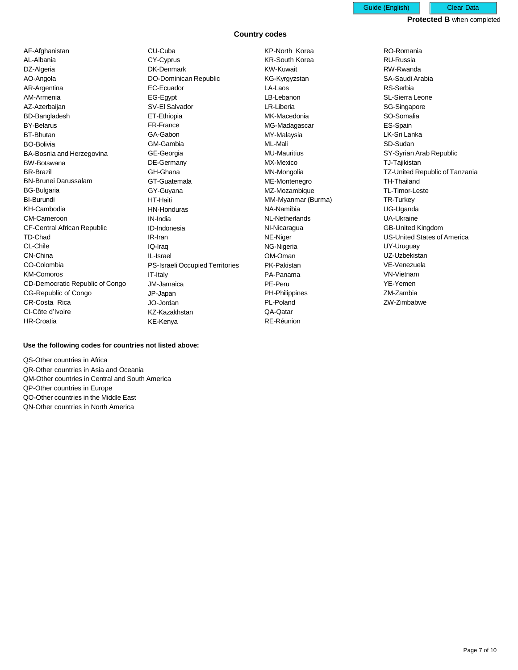Guide (English) **Clear Data** 

**Protected B** when completed

**Country codes**

AF-Afghanistan AL-Albania DZ-Algeria AO-Angola AR-Argentina AM-Armenia AZ-Azerbaijan BD-Bangladesh BY-Belarus BT-Bhutan BO-Bolivia BA-Bosnia and Herzegovina BW-Botswana BR-Brazil BN-Brunei Darussalam BG-Bulgaria BI-Burundi KH-Cambodia CM-Cameroon CF-Central African Republic TD-Chad CL-Chile CN-China CO-Colombia KM-Comoros CD-Democratic Republic of Congo CG-Republic of Congo CR-Costa Rica CI-Côte d'Ivoire HR-Croatia

CU-Cuba CY-Cyprus DK-Denmark DO-Dominican Republic EC-Ecuador EG-Egypt SV-El Salvador ET-Ethiopia FR-France GA-Gabon GM-Gambia GE-Georgia DE-Germany GH-Ghana GT-Guatemala GY-Guyana HT-Haiti HN-Honduras IN-India ID-Indonesia IR-Iran IQ-Iraq IL-Israel PS-Israeli Occupied Territories IT-Italy JM-Jamaica JP-Japan JO-Jordan KZ-Kazakhstan KE-Kenya

KP-North Korea KR-South Korea KW-Kuwait KG-Kyrgyzstan LA-Laos LB-Lebanon LR-Liberia MK-Macedonia MG-Madagascar MY-Malaysia ML-Mali MU-Mauritius MX-Mexico MN-Mongolia ME-Montenegro MZ-Mozambique MM-Myanmar (Burma) NA-Namibia NL-Netherlands NI-Nicaragua NE-Niger NG-Nigeria OM-Oman PK-Pakistan PA-Panama PE-Peru PH-Philippines PL-Poland QA-Qatar RE-Réunion

RO-Romania RU-Russia RW-Rwanda SA-Saudi Arabia RS-Serbia SL-Sierra Leone SG-Singapore SO-Somalia ES-Spain LK-Sri Lanka SD-Sudan SY-Syrian Arab Republic TJ-Tajikistan TZ-United Republic of Tanzania TH-Thailand TL-Timor-Leste TR-Turkey UG-Uganda UA-Ukraine GB-United Kingdom US-United States of America UY-Uruguay UZ-Uzbekistan VE-Venezuela VN-Vietnam YE-Yemen ZM-Zambia ZW-Zimbabwe

## **Use the following codes for countries not listed above:**

QS-Other countries in Africa QR-Other countries in Asia and Oceania QM-Other countries in Central and South America QP-Other countries in Europe QO-Other countries in the Middle East QN-Other countries in North America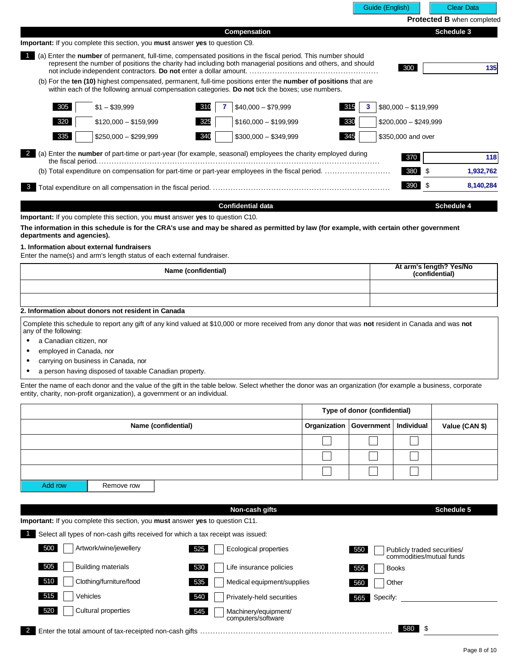|                                                                                                                                                                                                                                 | Guide (English)           | <b>Clear Data</b>                 |
|---------------------------------------------------------------------------------------------------------------------------------------------------------------------------------------------------------------------------------|---------------------------|-----------------------------------|
|                                                                                                                                                                                                                                 |                           | <b>Protected B</b> when completed |
| Compensation                                                                                                                                                                                                                    |                           | <b>Schedule 3</b>                 |
| <b>Important:</b> If you complete this section, you <b>must</b> answer yes to question C9.                                                                                                                                      |                           |                                   |
| Enter the number of permanent, full-time, compensated positions in the fiscal period. This number should<br>(a)<br>represent the number of positions the charity had including both managerial positions and others, and should | 300                       | 135                               |
| (b) For the ten (10) highest compensated, permanent, full-time positions enter the number of positions that are<br>within each of the following annual compensation categories. Do not tick the boxes; use numbers.             |                           |                                   |
| $$40,000 - $79,999$<br>$$1 - $39,999$<br>305<br>315<br>310                                                                                                                                                                      | $$80,000 - $119,999$<br>3 |                                   |
| 320<br>$$120,000 - $159,999$<br>325<br>$$160,000 - $199,999$<br>330                                                                                                                                                             | $$200,000 - $249,999$     |                                   |
| 335<br>$$300,000 - $349,999$<br>$$250,000 - $299,999$<br>340<br>345                                                                                                                                                             | \$350,000 and over        |                                   |
| (a) Enter the <b>number</b> of part-time or part-year (for example, seasonal) employees the charity employed during                                                                                                             | 370                       | 118                               |
| (b) Total expenditure on compensation for part-time or part-year employees in the fiscal period.                                                                                                                                | 380 \$                    | 1,932,762                         |
|                                                                                                                                                                                                                                 | 390 \$                    | 8,140,284                         |
| <b>Confidential data</b>                                                                                                                                                                                                        |                           | <b>Schedule 4</b>                 |

**Important:** If you complete this section, you **must** answer **yes** to question C10.

The information in this schedule is for the CRA's use and may be shared as permitted by law (for example, with certain other government **departments and agencies).**

## **1. Information about external fundraisers**

Enter the name(s) and arm's length status of each external fundraiser.

| Name (confidential)                                | At arm's length? Yes/No<br>(confidential) |
|----------------------------------------------------|-------------------------------------------|
|                                                    |                                           |
|                                                    |                                           |
| 2. Information about donors not resident in Canada |                                           |

### **2. Information about donors not resident in Canada**

Complete this schedule to report any gift of any kind valued at \$10,000 or more received from any donor that was **not** resident in Canada and was **not** any of the following:

- a Canadian citizen, nor<br>• employed in Canada, no
- employed in Canada, nor
- carrying on business in Canada, nor
- a person having disposed of taxable Canadian property.

Enter the name of each donor and the value of the gift in the table below. Select whether the donor was an organization (for example a business, corporate entity, charity, non-profit organization), a government or an individual.

|                                                                                 |                                                   | Type of donor (confidential) |              |                                                         |                |
|---------------------------------------------------------------------------------|---------------------------------------------------|------------------------------|--------------|---------------------------------------------------------|----------------|
|                                                                                 | Name (confidential)<br>Organization               |                              | Government   | <b>Individual</b>                                       | Value (CAN \$) |
|                                                                                 |                                                   |                              |              |                                                         |                |
|                                                                                 |                                                   |                              |              |                                                         |                |
|                                                                                 |                                                   |                              |              |                                                         |                |
| Add row<br>Remove row                                                           |                                                   |                              |              |                                                         |                |
|                                                                                 |                                                   |                              |              |                                                         |                |
| Important: If you complete this section, you must answer yes to question C11.   | Non-cash gifts                                    |                              |              |                                                         | Schedule 5     |
| Select all types of non-cash gifts received for which a tax receipt was issued: |                                                   |                              |              |                                                         |                |
| 500<br>Artwork/wine/jewellery                                                   | 525<br>Ecological properties                      |                              | 550          | Publicly traded securities/<br>commodities/mutual funds |                |
| 505<br><b>Building materials</b>                                                | 530<br>Life insurance policies                    |                              | 555          | <b>Books</b>                                            |                |
| Clothing/furniture/food<br>510                                                  | 535<br>Medical equipment/supplies                 |                              | 560          | Other                                                   |                |
| 515<br>Vehicles                                                                 | 540<br>Privately-held securities                  |                              | 565 Specify: |                                                         |                |
| 520<br>Cultural properties                                                      | 545<br>Machinery/equipment/<br>computers/software |                              |              |                                                         |                |
|                                                                                 |                                                   |                              |              | 580<br>\$                                               |                |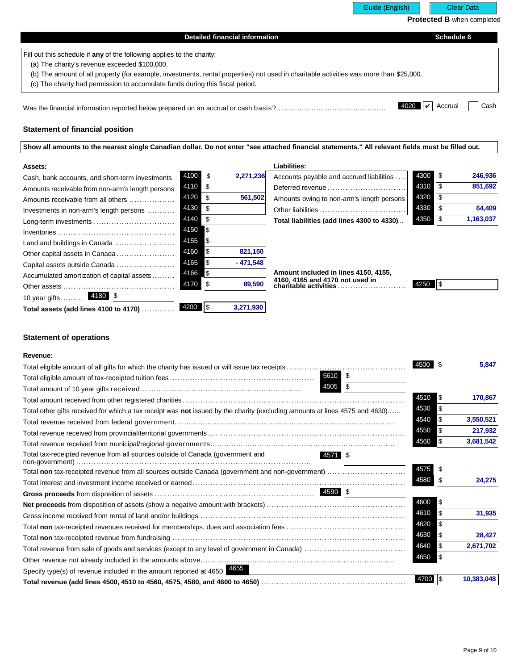**Protected B** when completed

Guide (English) | Clear Data

| Detailed financial information                                         | <b>Schedule 6</b> |
|------------------------------------------------------------------------|-------------------|
|                                                                        |                   |
| Fill out this schedule if any of the following applies to the charity: |                   |

(a) The charity's revenue exceeded \$100,000.

(b) The amount of all property (for example, investments, rental properties) not used in charitable activities was more than \$25,000.

(c) The charity had permission to accumulate funds during this fiscal period.

Was the financial information reported below prepared on an accrual or cash basis?............................................... 4020 Accrual Cash

4020 <br>
<u>
V</u> Accrual

## **Statement of financial position**

**Show all amounts to the nearest single Canadian dollar. Do not enter "see attached financial statements." All relevant fields must be filled out.**

**Liabilities:**

## **Assets:**

| Cash, bank accounts, and short-term investments  | 4100    |      | 2,271,236  | Accounts payable and accrued liabilities                 | 4300 \$ |     | 246,936   |
|--------------------------------------------------|---------|------|------------|----------------------------------------------------------|---------|-----|-----------|
| Amounts receivable from non-arm's length persons | 4110    | -\$  |            | Deferred revenue                                         | 4310    |     | 851,692   |
| Amounts receivable from all others               | 4120    | -\$  | 561,502    | Amounts owing to non-arm's length persons                | 4320    | -\$ |           |
| Investments in non-arm's length persons          | 4130    | -\$  |            |                                                          | 4330    |     | 64,409    |
| Long-term investments                            | 4140    | \$   |            | Total liabilities (add lines 4300 to 4330)               | 4350    | \$  | 1,163,037 |
|                                                  | 4150    | l \$ |            |                                                          |         |     |           |
| Land and buildings in Canada                     | 4155 \$ |      |            |                                                          |         |     |           |
| Other capital assets in Canada                   | 4160 \$ |      | 821,150    |                                                          |         |     |           |
| Capital assets outside Canada                    | 4165    | ∎\$  | $-471.548$ |                                                          |         |     |           |
| Accumulated amortization of capital assets       | 4166 \$ |      |            | Amount included in lines 4150, 4155,                     |         |     |           |
|                                                  | 4170    |      | 89,590     | 4160, 4165 and 4170 not used in<br>charitable activities |         |     |           |
| 4180 \$<br>10 year gifts $\dots\dots\dots$       |         |      |            |                                                          |         |     |           |
| Total assets (add lines 4100 to 4170)            | 4200    |      | 3,271,930  |                                                          |         |     |           |

## **Statement of operations**

## **Revenue:**

|                                                                                                                             | 4500 \$ |              | 5,847      |
|-----------------------------------------------------------------------------------------------------------------------------|---------|--------------|------------|
| 5610 \$                                                                                                                     |         |              |            |
| \$<br>4505                                                                                                                  |         |              |            |
|                                                                                                                             | 4510 \$ |              | 170,867    |
| Total other gifts received for which a tax receipt was not issued by the charity (excluding amounts at lines 4575 and 4630) | 4530    |              |            |
|                                                                                                                             | 4540    | $\mathbf{s}$ | 3,550,521  |
|                                                                                                                             | 4550    |              | 217,932    |
|                                                                                                                             | 4560    |              | 3,681,542  |
| Total tax-receipted revenue from all sources outside of Canada (government and<br>4571 \$                                   |         |              |            |
| Total non tax-receipted revenue from all sources outside Canada (government and non-government)                             | 4575    | - \$         |            |
|                                                                                                                             | 4580 \$ |              | 24,275     |
|                                                                                                                             |         |              |            |
|                                                                                                                             | 4600 \$ |              |            |
|                                                                                                                             | 4610    | ¶.\$         | 31,935     |
|                                                                                                                             | 4620    |              |            |
|                                                                                                                             | 4630    |              | 28,427     |
|                                                                                                                             | 4640    | <b>S</b>     | 2,671,702  |
|                                                                                                                             | 4650 \$ |              |            |
| Specify type(s) of revenue included in the amount reported at 4650 4655                                                     |         |              |            |
| Total revenue (add lines 4500, 4510 to 4560, 4575, 4580, and 4600 to 4650) ………………………………………………                               | 4700 \$ |              | 10,383,048 |